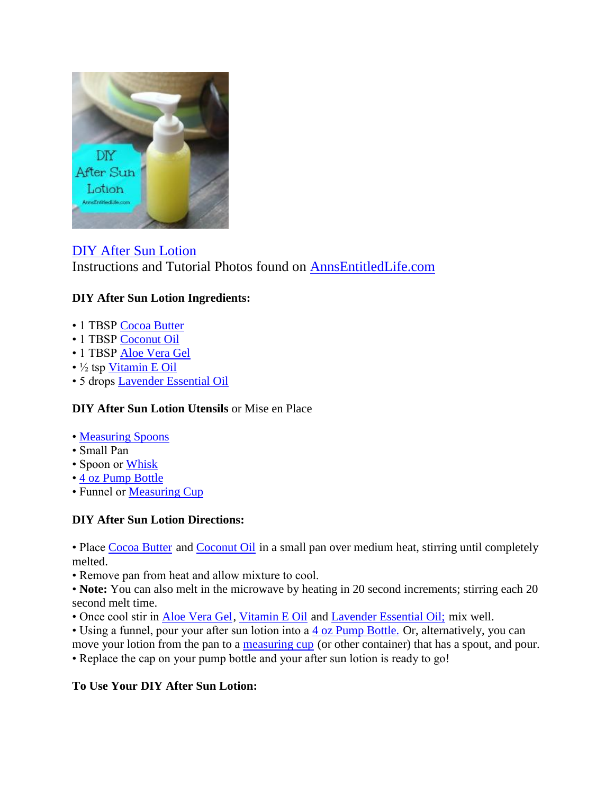

[DIY After Sun Lotion](http://www.annsentitledlife.com/household-tips/diy-after-sun-lotion/) Instructions and Tutorial Photos found on [AnnsEntitledLife.com](http://www.annsentitledlife.com/household-tips/diy-after-sun-lotion/)

## **DIY After Sun Lotion Ingredients:**

- 1 TBSP [Cocoa Butter](http://www.amazon.com/Now-Foods-7680-Cocoa-Butter/dp/B004X8IFUW/?_encoding=UTF8&camp=1789&creative=9325&linkCode=ur2&tag=coudeaandmor-20&linkId=HNELF4IGS2Z6NEHA)
- 1 TBSP [Coconut Oil](http://www.amazon.com/Viva-Labs-Organic-Virgin-Coconut/dp/B00HNTPF7E/?_encoding=UTF8&camp=1789&creative=9325&linkCode=ur2&tag=coudeaandmor-20&linkId=GAP2OG4ADT5YDYA7)
- 1 TBSP [Aloe Vera Gel](http://www.amazon.com/Green-Leaf-Naturals-Organic-Moisturizer/dp/B0105T6QXK/?_encoding=UTF8&camp=1789&creative=9325&linkCode=ur2&tag=coudeaandmor-20&linkId=M3PL7C3UFRI747E6)
- ½ tsp [Vitamin E Oil](http://www.amazon.com/Natures-Bounty-Oil-000IU-Ounce/dp/B000GG6FCA/?_encoding=UTF8&camp=1789&creative=9325&linkCode=ur2&tag=coudeaandmor-20&linkId=ZMUGXSPYGSDCNZVQ)
- 5 drops [Lavender Essential Oil](http://www.amazon.com/Organic-Essential-angustifolia-NHR-Oils/dp/B008TRT49Y/?_encoding=UTF8&camp=1789&creative=9325&linkCode=ur2&tag=coudeaandmor-20&linkId=OJVUDPVDUTOFXRKL)

## **DIY After Sun Lotion Utensils** or Mise en Place

- • [Measuring Spoons](http://www.amazon.com/s/?_encoding=UTF8&camp=1789&creative=9325&field-keywords=Measuring%20Spoons&linkCode=ur2&rh=i%3Aaps%2Ck%3AMeasuring%20Spoons&tag=coudeaandmor-20&url=search-alias%3Daps&linkId=WRLQKLQAJMIA34XG)
- Small Pan
- Spoon or [Whisk](http://www.amazon.com/s/?_encoding=UTF8&camp=1789&creative=9325&field-keywords=whisk&linkCode=ur2&tag=coudeaandmor-20&url=search-alias%3Daps&linkId=A3TFOPXLHCB3PGQS)
- • [4 oz Pump Bottle](http://www.amazon.com/Empty-Blue-Glass-Spray-Misters/dp/B00YDJ19ZE/?_encoding=UTF8&camp=1789&creative=9325&linkCode=ur2&tag=coudeaandmor-20&linkId=V6SIIX4M5DQZ3ODU)
- Funnel or [Measuring Cup](http://www.amazon.com/Pyrex-3-Piece-Glass-Measuring-Cup/dp/B00M2J7PCI/?_encoding=UTF8&camp=1789&creative=9325&linkCode=ur2&tag=coudeaandmor-20&linkId=5MMCBAXFLLVUU6VR)

## **DIY After Sun Lotion Directions:**

• Place [Cocoa Butter](http://www.amazon.com/Now-Foods-7680-Cocoa-Butter/dp/B004X8IFUW/?_encoding=UTF8&camp=1789&creative=9325&linkCode=ur2&tag=coudeaandmor-20&linkId=HNELF4IGS2Z6NEHA) and [Coconut Oil](http://www.amazon.com/Viva-Labs-Organic-Virgin-Coconut/dp/B00HNTPF7E/?_encoding=UTF8&camp=1789&creative=9325&linkCode=ur2&tag=coudeaandmor-20&linkId=GAP2OG4ADT5YDYA7) in a small pan over medium heat, stirring until completely melted.

• Remove pan from heat and allow mixture to cool.

• **Note:** You can also melt in the microwave by heating in 20 second increments; stirring each 20 second melt time.

- Once cool stir in [Aloe Vera Gel,](http://www.amazon.com/Green-Leaf-Naturals-Organic-Moisturizer/dp/B0105T6QXK/?_encoding=UTF8&camp=1789&creative=9325&linkCode=ur2&tag=coudeaandmor-20&linkId=M3PL7C3UFRI747E6) [Vitamin E Oil](http://www.amazon.com/Natures-Bounty-Oil-000IU-Ounce/dp/B000GG6FCA/?_encoding=UTF8&camp=1789&creative=9325&linkCode=ur2&tag=coudeaandmor-20&linkId=ZMUGXSPYGSDCNZVQ) and [Lavender Essential Oil;](http://www.amazon.com/Organic-Essential-angustifolia-NHR-Oils/dp/B008TRT49Y/?_encoding=UTF8&camp=1789&creative=9325&linkCode=ur2&tag=coudeaandmor-20&linkId=OJVUDPVDUTOFXRKL) mix well.
- Using a funnel, pour your after sun lotion into a  $\frac{4 \text{ oz Pump Bottle.}}{4 \text{ Ot}}$  Or, alternatively, you can

move your lotion from the pan to a [measuring cup](http://www.amazon.com/Pyrex-3-Piece-Glass-Measuring-Cup/dp/B00M2J7PCI/?_encoding=UTF8&camp=1789&creative=9325&linkCode=ur2&tag=coudeaandmor-20&linkId=5MMCBAXFLLVUU6VR) (or other container) that has a spout, and pour. • Replace the cap on your pump bottle and your after sun lotion is ready to go!

## **To Use Your DIY After Sun Lotion:**